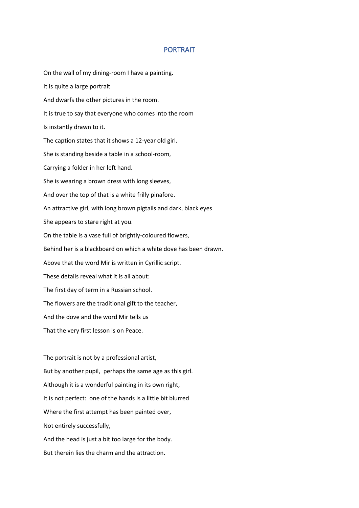## PORTRAIT

On the wall of my dining-room I have a painting. It is quite a large portrait And dwarfs the other pictures in the room. It is true to say that everyone who comes into the room Is instantly drawn to it. The caption states that it shows a 12-year old girl. She is standing beside a table in a school-room, Carrying a folder in her left hand. She is wearing a brown dress with long sleeves, And over the top of that is a white frilly pinafore. An attractive girl, with long brown pigtails and dark, black eyes She appears to stare right at you. On the table is a vase full of brightly-coloured flowers, Behind her is a blackboard on which a white dove has been drawn. Above that the word Mir is written in Cyrillic script. These details reveal what it is all about: The first day of term in a Russian school. The flowers are the traditional gift to the teacher, And the dove and the word Mir tells us That the very first lesson is on Peace. The portrait is not by a professional artist, But by another pupil, perhaps the same age as this girl. Although it is a wonderful painting in its own right, It is not perfect: one of the hands is a little bit blurred Where the first attempt has been painted over, Not entirely successfully, And the head is just a bit too large for the body.

But therein lies the charm and the attraction.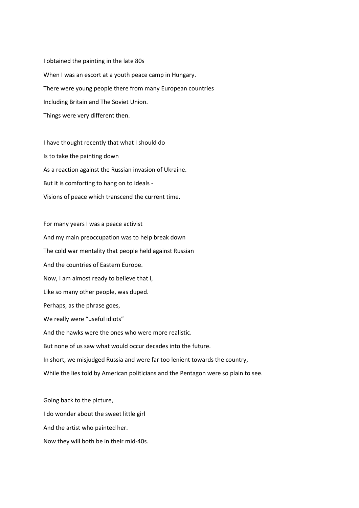I obtained the painting in the late 80s When I was an escort at a youth peace camp in Hungary. There were young people there from many European countries Including Britain and The Soviet Union. Things were very different then.

I have thought recently that what I should do Is to take the painting down As a reaction against the Russian invasion of Ukraine. But it is comforting to hang on to ideals - Visions of peace which transcend the current time.

For many years I was a peace activist And my main preoccupation was to help break down The cold war mentality that people held against Russian And the countries of Eastern Europe. Now, I am almost ready to believe that I, Like so many other people, was duped. Perhaps, as the phrase goes, We really were "useful idiots" And the hawks were the ones who were more realistic. But none of us saw what would occur decades into the future. In short, we misjudged Russia and were far too lenient towards the country, While the lies told by American politicians and the Pentagon were so plain to see.

Going back to the picture, I do wonder about the sweet little girl And the artist who painted her. Now they will both be in their mid-40s.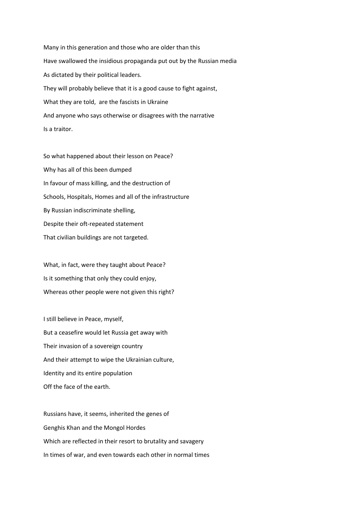Many in this generation and those who are older than this Have swallowed the insidious propaganda put out by the Russian media As dictated by their political leaders. They will probably believe that it is a good cause to fight against, What they are told, are the fascists in Ukraine And anyone who says otherwise or disagrees with the narrative Is a traitor.

So what happened about their lesson on Peace? Why has all of this been dumped In favour of mass killing, and the destruction of Schools, Hospitals, Homes and all of the infrastructure By Russian indiscriminate shelling, Despite their oft-repeated statement That civilian buildings are not targeted.

What, in fact, were they taught about Peace? Is it something that only they could enjoy, Whereas other people were not given this right?

I still believe in Peace, myself, But a ceasefire would let Russia get away with Their invasion of a sovereign country And their attempt to wipe the Ukrainian culture, Identity and its entire population Off the face of the earth.

Russians have, it seems, inherited the genes of Genghis Khan and the Mongol Hordes Which are reflected in their resort to brutality and savagery In times of war, and even towards each other in normal times